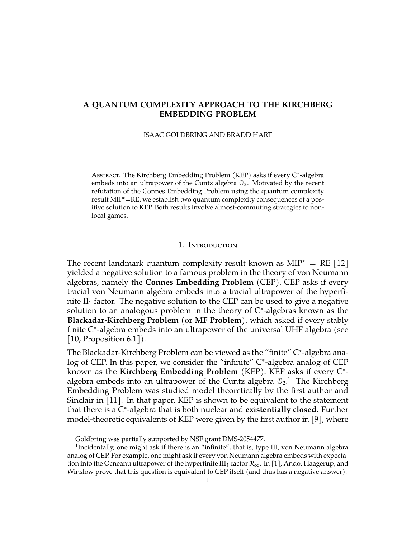# **A QUANTUM COMPLEXITY APPROACH TO THE KIRCHBERG EMBEDDING PROBLEM**

ISAAC GOLDBRING AND BRADD HART

Aвsткаст. The Kirchberg Embedding Problem (KEP) asks if every C<sup>\*</sup>-algebra embeds into an ultrapower of the Cuntz algebra  $\mathcal{O}_2$ . Motivated by the recent refutation of the Connes Embedding Problem using the quantum complexity result MIP\*=RE, we establish two quantum complexity consequences of a positive solution to KEP. Both results involve almost-commuting strategies to nonlocal games.

#### 1. Introduction

The recent landmark quantum complexity result known as MIP<sup> $*$ </sup> = RE [\[12\]](#page-10-0) yielded a negative solution to a famous problem in the theory of von Neumann algebras, namely the **Connes Embedding Problem** (CEP). CEP asks if every tracial von Neumann algebra embeds into a tracial ultrapower of the hyperfinite  $II_1$  factor. The negative solution to the CEP can be used to give a negative solution to an analogous problem in the theory of  $C^*$ -algebras known as the **Blackadar-Kirchberg Problem** (or **MF Problem**), which asked if every stably finite C\*-algebra embeds into an ultrapower of the universal UHF algebra (see [\[10,](#page-9-0) Proposition 6.1]).

The Blackadar-Kirchberg Problem can be viewed as the "finite" C\*-algebra analog of CEP. In this paper, we consider the "infinite" C\*-algebra analog of CEP known as the Kirchberg Embedding Problem (KEP). KEP asks if every C<sup>\*</sup>algebra embeds into an ultrapower of the Cuntz algebra  $\mathcal{O}_2$ .<sup>[1](#page-0-0)</sup> The Kirchberg Embedding Problem was studied model theoretically by the first author and Sinclair in [\[11\]](#page-9-1). In that paper, KEP is shown to be equivalent to the statement that there is a C ∗ -algebra that is both nuclear and **existentially closed**. Further model-theoretic equivalents of KEP were given by the first author in [\[9\]](#page-9-2), where

<span id="page-0-0"></span>Goldbring was partially supported by NSF grant DMS-2054477.

<sup>&</sup>lt;sup>1</sup>Incidentally, one might ask if there is an "infinite", that is, type III, von Neumann algebra analog of CEP. For example, one might ask if every von Neumann algebra embeds with expectation into the Ocneanu ultrapower of the hyperfinite III<sub>1</sub> factor  $\mathcal{R}_{\infty}$ . In [\[1\]](#page-9-3), Ando, Haagerup, and Winslow prove that this question is equivalent to CEP itself (and thus has a negative answer).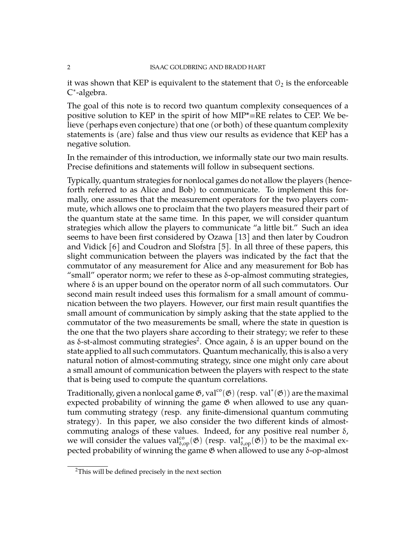it was shown that KEP is equivalent to the statement that  $\mathcal{O}_2$  is the enforceable C ∗ -algebra.

The goal of this note is to record two quantum complexity consequences of a positive solution to KEP in the spirit of how MIP\*=RE relates to CEP. We believe (perhaps even conjecture) that one (or both) of these quantum complexity statements is (are) false and thus view our results as evidence that KEP has a negative solution.

In the remainder of this introduction, we informally state our two main results. Precise definitions and statements will follow in subsequent sections.

Typically, quantum strategies for nonlocal games do not allow the players (henceforth referred to as Alice and Bob) to communicate. To implement this formally, one assumes that the measurement operators for the two players commute, which allows one to proclaim that the two players measured their part of the quantum state at the same time. In this paper, we will consider quantum strategies which allow the players to communicate "a little bit." Such an idea seems to have been first considered by Ozawa [\[13\]](#page-10-1) and then later by Coudron and Vidick [\[6\]](#page-9-4) and Coudron and Slofstra [\[5\]](#page-9-5). In all three of these papers, this slight communication between the players was indicated by the fact that the commutator of any measurement for Alice and any measurement for Bob has "small" operator norm; we refer to these as δ-op-almost commuting strategies, where δ is an upper bound on the operator norm of all such commutators. Our second main result indeed uses this formalism for a small amount of communication between the two players. However, our first main result quantifies the small amount of communication by simply asking that the state applied to the commutator of the two measurements be small, where the state in question is the one that the two players share according to their strategy; we refer to these as δ-st-almost commuting strategies<sup>[2](#page-1-0)</sup>. Once again, δ is an upper bound on the state applied to all such commutators. Quantum mechanically, this is also a very natural notion of almost-commuting strategy, since one might only care about a small amount of communication between the players with respect to the state that is being used to compute the quantum correlations.

Traditionally, given a nonlocal game  $\mathfrak{G}$ , val $\rm ^{co}(\mathfrak{G})$  (resp.  $\rm val^*(\mathfrak{G}))$  are the maximal expected probability of winning the game  $\mathfrak G$  when allowed to use any quantum commuting strategy (resp. any finite-dimensional quantum commuting strategy). In this paper, we also consider the two different kinds of almostcommuting analogs of these values. Indeed, for any positive real number  $\delta$ , we will consider the values val $_{\delta,op}^{co}(\mathfrak{G})$  (resp. val $_{\delta,op}^{*}(\mathfrak{G})$ ) to be the maximal expected probability of winning the game G when allowed to use any δ-op-almost

<span id="page-1-0"></span><sup>&</sup>lt;sup>2</sup>This will be defined precisely in the next section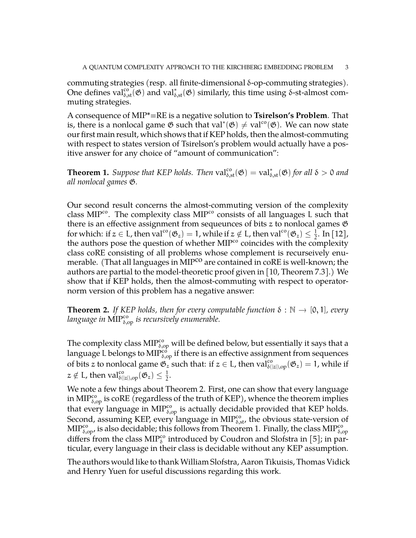commuting strategies (resp. all finite-dimensional δ-op-commuting strategies). One defines val ${}^{co}_{\delta, st}(\mathfrak{G})$  and val ${}^{*}_{\delta, st}(\mathfrak{G})$  similarly, this time using δ-st-almost commuting strategies.

A consequence of MIP\*=RE is a negative solution to **Tsirelson's Problem**. That is, there is a nonlocal game  $\mathfrak G$  such that val\* $(\mathfrak G)\neq \text{val}^{\text{co}}(\mathfrak G)$ . We can now state our first main result, which shows that if KEP holds, then the almost-commuting with respect to states version of Tsirelson's problem would actually have a positive answer for any choice of "amount of communication":

<span id="page-2-1"></span>**Theorem 1.** *Suppose that KEP holds. Then*  $val_{\delta,st}^{co}(\mathfrak{G}) = val_{\delta,st}^{*}(\mathfrak{G})$  *for all*  $\delta > 0$  *and all nonlocal games* G*.*

Our second result concerns the almost-commuting version of the complexity class MIP<sup>co</sup>. The complexity class MIP<sup>co</sup> consists of all languages L such that there is an effective assignment from sequeunces of bits  $z$  to nonlocal games  $\mathfrak G$ for which: if  $z \in L$ , then val<sup>co</sup> $(\mathfrak{G}_z) = 1$ , while if  $z \notin L$ , then val<sup>co</sup> $(\mathfrak{G}_z) \leq \frac{1}{2}$  $\frac{1}{2}$ . In [\[12\]](#page-10-0), the authors pose the question of whether MIP<sup>co</sup> coincides with the complexity class coRE consisting of all problems whose complement is recurseively enumerable. (That all languages in MIP<sup>co</sup> are contained in coRE is well-known; the authors are partial to the model-theoretic proof given in [\[10,](#page-9-0) Theorem 7.3].) We show that if KEP holds, then the almost-commuting with respect to operatornorm version of this problem has a negative answer:

<span id="page-2-0"></span>**Theorem 2.** *If KEP holds, then for every computable function*  $\delta : \mathbb{N} \to [0,1]$ *, every* language in MIP $_{\delta, \mathrm{op}}^{\mathrm{co}}$  is recursively enumerable.

The complexity class  $\text{MIP}^{\text{co}}_{\delta,\text{op}}$  will be defined below, but essentially it says that a language L belongs to MIP $_{\delta, \mathrm{op}}^{\mathrm{co}}$  if there is an effective assignment from sequences of bits z to nonlocal game  $\mathfrak{G}_z$  such that: if  $z \in L$ , then  $\text{val}_{\delta(|z|),\text{op}}^{co}(\mathfrak{G}_z) = 1$ , while if  $z \notin \mathrm{L}$ , then  $\mathrm{val}^{\mathrm{co}}_{\delta(|z|),\mathrm{op}}(\mathfrak{G}_z) \leq \frac{1}{2}$  $\frac{1}{2}$ .

We note a few things about Theorem [2.](#page-2-0) First, one can show that every language in MIP $_{\delta,op}^{\text{co}}$  is coRE (regardless of the truth of KEP), whence the theorem implies that every language in MIP<sup>co</sup>, is actually decidable provided that KEP holds. Second, assuming KEP, every language in  $\text{MIP}^{\text{co}}_{\delta,\text{st}}$ , the obvious state-version of  $\text{MIP}^{\text{co}}_{\delta, \text{op}}$ , is also decidable; this follows from Theorem [1.](#page-2-1) Finally, the class  $\text{MIP}^{\text{co}}_{\delta, \text{op}}$ differs from the class  $\text{MIP}^{\text{co}}_{\delta}$  introduced by Coudron and Slofstra in [\[5\]](#page-9-5); in particular, every language in their class is decidable without any KEP assumption.

The authors would like to thank William Slofstra, Aaron Tikuisis, Thomas Vidick and Henry Yuen for useful discussions regarding this work.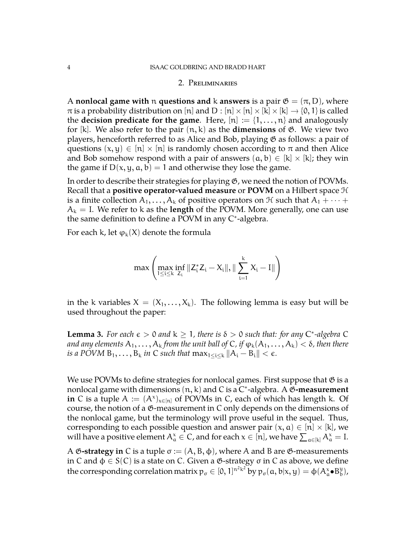#### 2. Preliminaries

A **nonlocal game with** n **questions and** k **answers** is a pair  $\mathfrak{G} = (\pi, D)$ , where  $\pi$  is a probability distribution on [n] and D : [n]  $\times$  [n]  $\times$  [k]  $\times$  [k]  $\rightarrow$  {0, 1} is called the **decision predicate for the game**. Here,  $[n] := \{1, \ldots, n\}$  and analogously for  $[k]$ . We also refer to the pair  $(n, k)$  as the **dimensions** of  $\mathfrak{G}$ . We view two players, henceforth referred to as Alice and Bob, playing  $\mathfrak G$  as follows: a pair of questions  $(x, y) \in [n] \times [n]$  is randomly chosen according to  $\pi$  and then Alice and Bob somehow respond with a pair of answers  $(a, b) \in [k] \times [k]$ ; they win the game if  $D(x, y, a, b) = 1$  and otherwise they lose the game.

In order to describe their strategies for playing G, we need the notion of POVMs. Recall that a **positive operator-valued measure** or **POVM** on a Hilbert space H is a finite collection  $A_1, \ldots, A_k$  of positive operators on  $\mathcal H$  such that  $A_1 + \cdots +$  $A_k = I$ . We refer to k as the **length** of the POVM. More generally, one can use the same definition to define a POVM in any C\*-algebra.

For each k, let  $\varphi_k(X)$  denote the formula

$$
\text{max}\left(\max_{1\leq i\leq k}\inf_{Z_i}\|Z_i^*Z_i-X_i\|,\|\sum_{i=1}^kX_i-I\|\right)
$$

in the k variables  $X = (X_1, \ldots, X_k)$ . The following lemma is easy but will be used throughout the paper:

<span id="page-3-0"></span>**Lemma 3.** For each  $\epsilon > 0$  and  $k \ge 1$ , there is  $\delta > 0$  such that: for any C<sup>\*</sup>-algebra C *and any elements*  $A_1, \ldots, A_k$  *from the unit ball of* C, *if*  $\varphi_k(A_1, \ldots, A_k) < \delta$ , *then there is a POVM*  $B_1, \ldots, B_k$  *in* C *such that*  $\max_{1 \leq i \leq k} ||A_i - B_i|| < \epsilon$ *.* 

We use POVMs to define strategies for nonlocal games. First suppose that  $\mathfrak G$  is a nonlocal game with dimensions (n, k) and C is a C ∗ -algebra. A G**-measurement in** C is a tuple  $A := (A^x)_{x \in [n]}$  of POVMs in C, each of which has length k. Of course, the notion of a G-measurement in C only depends on the dimensions of the nonlocal game, but the terminology will prove useful in the sequel. Thus, corresponding to each possible question and answer pair  $(x, a) \in [n] \times [k]$ , we will have a positive element  $A^x_\alpha \in \mathsf{C}$ , and for each  $x \in [n]$ , we have  $\sum_{\alpha \in [k]} A^x_\alpha = I$ .

A  $\mathfrak G$ **-strategy in** C is a tuple  $\sigma := (A, B, \phi)$ , where A and B are  $\mathfrak G$ -measurements in C and  $\varphi \in S(C)$  is a state on C. Given a  $\mathfrak{G}\text{-strategy}$  σ in C as above, we define the corresponding correlation matrix  $p_\sigma\in[0,1]^{n^2\mathrm{k}^2}$  by  $p_\sigma(\mathfrak{a},\mathfrak{b}|\mathrm{x},\mathrm{y})=\varphi(\mathrm{A}_\mathfrak{a}^{\mathrm{x}}\bullet\mathrm{B}_\mathfrak{b}^\mathrm{y}$ b ),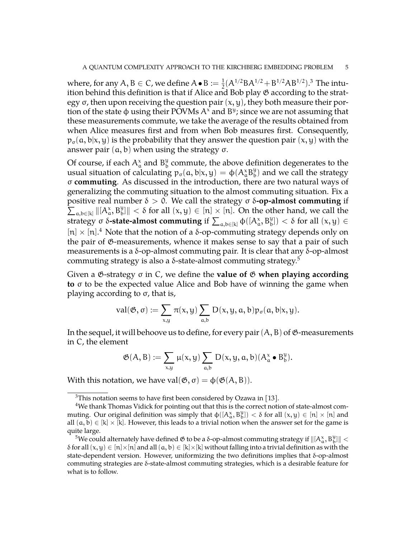where, for any  $A, B \in C$ , we define  $A \bullet B := \frac{1}{2}(A^{1/2}BA^{1/2} + B^{1/2}AB^{1/2}).^3$  $A \bullet B := \frac{1}{2}(A^{1/2}BA^{1/2} + B^{1/2}AB^{1/2}).^3$  The intuition behind this definition is that if Alice and Bob play G according to the strategy  $\sigma$ , then upon receiving the question pair  $(x, y)$ , they both measure their portion of the state  $\phi$  using their POVMs  $A^x$  and  $B^y$ ; since we are not assuming that these measurements commute, we take the average of the results obtained from when Alice measures first and from when Bob measures first. Consequently,  $p_{\sigma}(\mathfrak{a},\mathfrak{b}|\mathfrak{x},\mathfrak{y})$  is the probability that they answer the question pair  $(\mathfrak{x},\mathfrak{y})$  with the answer pair  $(a, b)$  when using the strategy σ.

Of course, if each  $\mathsf{A}^{\mathsf{x}}_{\mathsf{a}}$  and  $\mathsf{B}^{\mathsf{y}}_{\mathsf{b}}$  $\frac{9}{b}$  commute, the above definition degenerates to the usual situation of calculating  $p_{\sigma}(\mathfrak{a},\mathfrak{b}|\mathfrak{x},\mathfrak{y}) = \varphi(A_{\mathfrak{a}}^{\mathfrak{x}}B_{\mathfrak{b}}^{\mathfrak{y}}$  $_{\rm b}^{\rm y})$  and we call the strategy σ **commuting**. As discussed in the introduction, there are two natural ways of generalizing the commuting situation to the almost commuting situation. Fix a positive real number δ > 0. We call the strategy σ δ**-op-almost commuting** if  $\sum_{a,b\in[k]}||(A^x_a,B^y_b)|| < \delta$  for all  $(x,y)\in[n]\times[n]$ . On the other hand, we call the strategy σ δ**-state-almost commuting** if  $\sum_{a,b\in[k]}\varphi([A^x_a, B^y_b]) < \delta$  for all  $(x, y) \in$  $[n] \times [n]$ .<sup>[4](#page-4-1)</sup> Note that the notion of a δ-op-commuting strategy depends only on the pair of G-measurements, whence it makes sense to say that a pair of such measurements is a δ-op-almost commuting pair. It is clear that any δ-op-almost commuting strategy is also a δ-state-almost commuting strategy.<sup>[5](#page-4-2)</sup>

Given a G-strategy σ in C, we define the **value of** G **when playing according to** σ to be the expected value Alice and Bob have of winning the game when playing according to σ, that is,

$$
\mathrm{val}(\mathfrak{G},\sigma):=\sum_{x,y}\pi(x,y)\sum_{a,b}D(x,y,a,b)p_{\sigma}(a,b|x,y).
$$

In the sequel, it will behoove us to define, for every pair  $(A, B)$  of  $\mathfrak{G}$ -measurements in C, the element

$$
\mathfrak{G}(A,B):=\sum_{x,y}\mu(x,y)\sum_{a,b}D(x,y,a,b)(A^\mathrm{x}_a\bullet B^\mathrm{y}_b).
$$

With this notation, we have val $(\mathfrak{G}, \sigma) = \varphi(\mathfrak{G}(A, B)).$ 

<span id="page-4-1"></span><span id="page-4-0"></span> $3$ This notation seems to have first been considered by Ozawa in [\[13\]](#page-10-1).

<sup>4</sup>We thank Thomas Vidick for pointing out that this is the correct notion of state-almost commuting. Our original definition was simply that  $\varphi([A_\alpha^x, B_b^y]) < \delta$  for all  $(x, y) \in [n] \times [n]$  and all  $(a, b) \in [k] \times [k]$ . However, this leads to a trivial notion when the answer set for the game is quite large.

<span id="page-4-2"></span> $^5$ We could alternately have defined & to be a δ-op-almost commuting strategy if  $\|[A^\chi_\alpha, B^\chi_\flat]\| < 1$ δ for all  $(x, y) \in [n] \times [n]$  and all  $(a, b) \in [k] \times [k]$  without falling into a trivial definition as with the state-dependent version. However, uniformizing the two definitions implies that δ-op-almost commuting strategies are δ-state-almost commuting strategies, which is a desirable feature for what is to follow.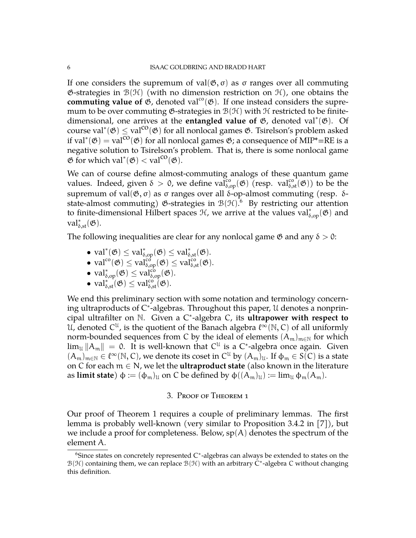If one considers the supremum of val $($ empty, σ) as σ ranges over all commuting G-strategies in  $\mathcal{B}(\mathcal{H})$  (with no dimension restriction on  $\mathcal{H}$ ), one obtains the commuting value of  $\mathfrak{G}$ , denoted val<sup>co</sup>( $\mathfrak{G}$ ). If one instead considers the supremum to be over commuting  $\mathfrak{G}\text{-strategies}$  in  $\mathfrak{B}(\mathfrak{H})$  with  $\mathfrak{H}$  restricted to be finitedimensional, one arrives at the **entangled value of** G, denoted val<sup>∗</sup> (G). Of course val<sup>\*</sup>( $\mathfrak{G}$ )  $\leq$  val<sup>co</sup>( $\mathfrak{G}$ ) for all nonlocal games  $\mathfrak{G}$ . Tsirelson's problem asked if val<sup>\*</sup>( $\mathfrak{G}$ ) = val<sup>co</sup>( $\mathfrak{G}$ ) for all nonlocal games  $\mathfrak{G}$ ; a consequence of MIP\*=RE is a negative solution to Tsirelson's problem. That is, there is some nonlocal game  $\mathfrak{G}$  for which val<sup>\*</sup> $(\mathfrak{G}) < \text{val}^{\text{co}}(\mathfrak{G})$ .

We can of course define almost-commuting analogs of these quantum game values. Indeed, given  $\delta > 0$ , we define valged  $\widetilde{C}^{\circ}_{\delta,op}(\mathfrak{G})$  (resp. val $_{\delta,st}^{\circ}(\mathfrak{G})$ ) to be the supremum of val $($ empty, σ) as σ ranges over all δ-op-almost commuting (resp. δstate-almost commuting) &-strategies in  $\mathcal{B}(\mathcal{H}).^6\;$  $\mathcal{B}(\mathcal{H}).^6\;$  $\mathcal{B}(\mathcal{H}).^6\;$  By restricting our attention to finite-dimensional Hilbert spaces  $\mathcal{H}$ , we arrive at the values val<sup>\*</sup><sub> $\delta$ ,op</sub>( $\mathfrak{G}$ ) and  $val^*_{\delta, st}(\mathfrak{G}).$ 

The following inequalities are clear for any nonlocal game  $\mathfrak G$  and any  $\delta > 0$ :

- val<sup>\*</sup>( $\mathfrak{G}) \leq \mathrm{val}_{\delta, \mathrm{op}}^{\ast}(\mathfrak{G}) \leq \mathrm{val}_{\delta, \mathrm{st}}^{\ast}(\mathfrak{G}).$
- val<sup>co</sup> $(\mathfrak{G}) \leq \text{val}_{\delta,op}^{co}(\mathfrak{G}) \leq \text{val}_{\delta,\text{st}}^{co}(\mathfrak{G}).$
- val<sup>\*</sup><sub> $\delta$ ,op</sub> $(\mathfrak{G}) \leq \text{val}_{\delta,op}^{\text{cb}}(\mathfrak{G}).$
- $val_{\delta, st}^{*'}(\mathfrak{G}) \leq val_{\delta, st}^{co}(\mathfrak{G}).$

We end this preliminary section with some notation and terminology concerning ultraproducts of C ∗ -algebras. Throughout this paper, U denotes a nonprincipal ultrafilter on N. Given a C ∗ -algebra C, its **ultrapower with respect to** U, denoted  $C^{\mathfrak{U}}$ , is the quotient of the Banach algebra  $\ell^{\infty}(\mathbb{N},C)$  of all uniformly norm-bounded sequences from C by the ideal of elements  $(A_m)_{m\in\mathbb{N}}$  for which  $\lim_{\mathfrak{U}}\|{\mathsf{A}}_{{\mathfrak{m}}}\|~=~$  0. It is well-known that  $\mathsf{C}^{\mathfrak{U}}$  is a  $\mathsf{C}^*$ -algebra once again. Given  $(A_m)_{m\in\mathbb{N}}\in\ell^{\infty}(\mathbb{N},\mathbb{C})$ , we denote its coset in  $\mathbb{C}^{\mathfrak{U}}$  by  $(A_m)_{\mathfrak{U}}$ . If  $\varphi_m\in S(\mathbb{C})$  is a state on C for each m ∈ N, we let the **ultraproduct state** (also known in the literature as **limit state**)  $\phi := (\phi_m)_\mathfrak{U}$  on C be defined by  $\phi((A_m)_\mathfrak{U}) := \lim_\mathfrak{U} \phi_m(A_m)$ .

### 3. Proof of Theorem 1

Our proof of Theorem [1](#page-2-1) requires a couple of preliminary lemmas. The first lemma is probably well-known (very similar to Proposition 3.4.2 in [\[7\]](#page-9-6)), but we include a proof for completeness. Below,  $sp(A)$  denotes the spectrum of the element A.

<span id="page-5-0"></span> $6$ Since states on concretely represented C $*$ -algebras can always be extended to states on the  $\mathcal{B}(\mathcal{H})$  containing them, we can replace  $\mathcal{B}(\mathcal{H})$  with an arbitrary C<sup>\*</sup>-algebra C without changing this definition.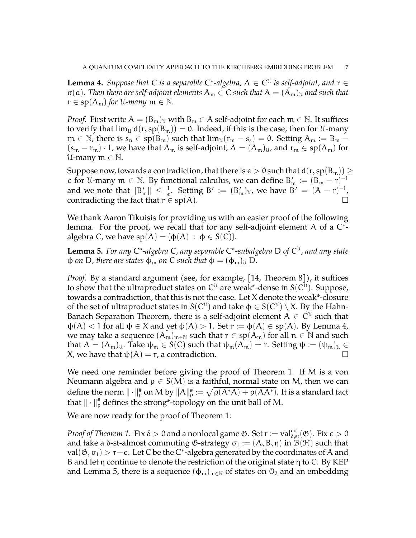<span id="page-6-0"></span>**Lemma 4.** Suppose that C is a separable C<sup>\*</sup>-algebra,  $A \in C^{\mathfrak{U}}$  is self-adjoint, and  $r \in C^{\mathfrak{U}}$  $\sigma(\mathfrak{a})$ . Then there are self-adjoint elements  $A_{\mathfrak{m}} \in \mathbb{C}$  such that  $A = (A_{\mathfrak{m}})_{\mathfrak{u}}$  and such that  $r \in sp(A_m)$  *for* U-*many*  $m \in \mathbb{N}$ .

*Proof.* First write  $A = (B_m)_U$  with  $B_m \in A$  self-adjoint for each  $m \in \mathbb{N}$ . It suffices to verify that  $\lim_{\mathfrak{U}} d(r, sp(B_m)) = 0$ . Indeed, if this is the case, then for U-many  $m \in \mathbb{N}$ , there is  $s_n \in sp(B_m)$  such that  $\lim_{\mathcal{U}}(r_m - s_s) = 0$ . Setting  $A_m := B_m (s_m - r_m) \cdot 1$ , we have that  $A_m$  is self-adjoint,  $A = (A_m)_u$ , and  $r_m \in sp(A_m)$  for U-many  $m \in \mathbb{N}$ .

Suppose now, towards a contradiction, that there is  $\epsilon > 0$  such that  $d(r, sp(B_m)) \ge$  $\epsilon$  for U-many  $m \in \mathbb{N}$ . By functional calculus, we can define  $B'_m := (B_m - r)^{-1}$ and we note that  $||B'_m|| \leq \frac{1}{\epsilon}$ . Setting  $B' := (B'_m)_{\mathfrak{U}}$ , we have  $B' = (A - r)^{-1}$ , contradicting the fact that  $r \in sp(A)$ .

We thank Aaron Tikuisis for providing us with an easier proof of the following lemma. For the proof, we recall that for any self-adjoint element A of a  $C^*$ algebra C, we have  $sp(A) = \{\phi(A) : \phi \in S(C)\}.$ 

<span id="page-6-1"></span>**Lemma 5.** *For any* C<sup>\*</sup>-algebra *C*, any separable C<sup>\*</sup>-subalgebra D of C<sup>u</sup>, and any state  $\phi$  *on* D, there are states  $\phi_m$  *on* C *such that*  $\phi = (\phi_m)_\mathfrak{U}$  D.

*Proof.* By a standard argument (see, for example, [\[14,](#page-10-2) Theorem 8]), it suffices to show that the ultraproduct states on  $C^{\mathfrak{U}}$  are weak\*-dense in  $\mathcal{S}(C^{\mathfrak{U}})$ . Suppose, towards a contradiction, that this is not the case. Let X denote the weak\*-closure of the set of ultraproduct states in  $S(C^{\mathcal{U}})$  and take  $\varphi \in S(C^{\mathcal{U}}) \setminus X$ . By the Hahn-Banach Separation Theorem, there is a self-adjoint element  $A \,\in\, \dot{C}^\mathfrak{U}$  such that  $\psi(A)$  < 1 for all  $\psi \in X$  and yet  $\phi(A) > 1$ . Set  $r := \phi(A) \in sp(A)$ . By Lemma [4,](#page-6-0) we may take a sequence  $(A_m)_{m\in\mathbb{N}}$  such that  $r \in sp(A_m)$  for all  $n \in \mathbb{N}$  and such that  $A = (A_m)_\mathfrak{U}$ . Take  $\psi_m \in S(C)$  such that  $\psi_m(A_m) = r$ . Setting  $\psi := (\psi_m)_\mathfrak{U} \in$  $X$ , we have that  $\psi(A) = r$ , a contradiction.

We need one reminder before giving the proof of Theorem 1. If M is a von Neumann algebra and  $\rho \in S(M)$  is a faithful, normal state on M, then we can define the norm  $\|\cdot\|_p^{\#}$  on M by  $\|A\|_p^{\#}:=\sqrt{\rho(A^*A)+\rho(AA^*)}.$  It is a standard fact that  $\|\cdot\|_\rho^*$  defines the strong\*-topology on the unit ball of M.

We are now ready for the proof of Theorem 1:

*Proof of Theorem 1.* Fix  $\delta > 0$  and a nonlocal game  $\mathfrak{G}$ . Set  $r := val_{\delta, st}^{co}(\mathfrak{G})$ . Fix  $\epsilon > 0$ and take a  $\delta$ -st-almost commuting  $\mathfrak{G}$ -strategy  $\sigma_1 := (A, B, \eta)$  in  $\mathfrak{B}(\mathfrak{H})$  such that val( $\mathfrak{G}, \sigma_1$ ) >  $r-\varepsilon$ . Let C be the C<sup>\*</sup>-algebra generated by the coordinates of A and B and let η continue to denote the restriction of the original state η to C. By KEP and Lemma [5,](#page-6-1) there is a sequence  $(\phi_m)_{m\in\mathbb{N}}$  of states on  $\mathcal{O}_2$  and an embedding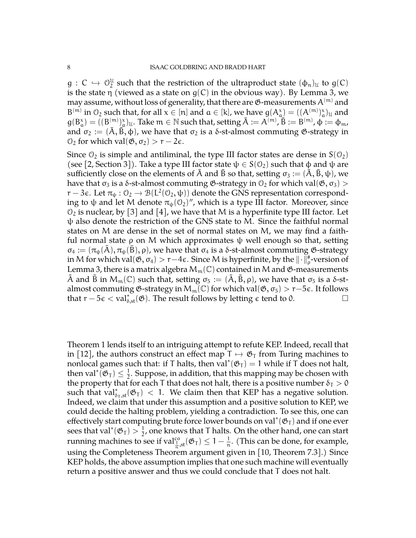$g: C \hookrightarrow \mathbb{O}^{\mathfrak{U}}_2$  such that the restriction of the ultraproduct state  $(\phi_n)_\mathfrak{U}$  to  $g(C)$ <br>is the state  $n$  (viewed as a state on  $g(C)$  in the elytique very). By Lamma 2, yes is the state  $\eta$  (viewed as a state on  $g(C)$  in the obvious way). By Lemma [3,](#page-3-0) we may assume, without loss of generality, that there are  $\mathfrak{G}\text{-measures }A^{(m)}$  and  $B^{(m)}$  in  $\mathcal{O}_2$  such that, for all  $x \in [n]$  and  $a \in [k]$ , we have  $g(A_a^x) = ((A^{(m)})_a^x)_u$  and  $g(B^x_\alpha)=((B^{(m)}_{-})^x_\alpha)_u$ . Take  $m\in\mathbb{N}$  such that, setting  $\bar{A}:=A^{(m)}, \bar{B}:=B^{(m)}, \phi:=\phi_m$ , and  $\sigma_2 := (\bar{A}, \bar{B}, \phi)$ , we have that  $\sigma_2$  is a  $\delta$ -st-almost commuting  $\mathfrak{G}$ -strategy in  $\mathcal{O}_2$  for which val $(\mathfrak{G}, \sigma_2) > r - 2\epsilon$ .

Since  $\mathcal{O}_2$  is simple and antiliminal, the type III factor states are dense in  $S(\mathcal{O}_2)$ (see [\[2,](#page-9-7) Section 3]). Take a type III factor state  $\psi \in S(0_2)$  such that  $\phi$  and  $\psi$  are sufficiently close on the elements of A and B so that, setting  $\sigma_3 := (A, B, \psi)$ , we have that  $\sigma_3$  is a δ-st-almost commuting  $\mathfrak{G}$ -strategy in  $\mathfrak{O}_2$  for which val $(\mathfrak{G}, \sigma_3)$  > r – 3e. Let  $\pi_{\psi}: \mathcal{O}_2 \to \mathcal{B}(L^2(\mathcal{O}_2, \psi))$  denote the GNS representation correspond-<br>ing to the and let M denote  $\pi_{\psi}(\mathcal{O}_2)''$  which is a type III factor. Margazzar, since ing to ψ and let M denote  $\pi_{\psi}(\mathcal{O}_2)'$ , which is a type III factor. Moreover, since  $\mathcal{O}_2$  is nuclear, by [\[3\]](#page-9-8) and [\[4\]](#page-9-9), we have that M is a hyperfinite type III factor. Let  $\psi$  also denote the restriction of the GNS state to M. Since the faithful normal states on M are dense in the set of normal states on M, we may find a faithful normal state  $ρ$  on M which approximates  $ψ$  well enough so that, setting  $\sigma_4 := (\pi_{\psi}(A), \pi_{\psi}(B), \rho)$ , we have that  $\sigma_4$  is a  $\delta$ -st-almost commuting  $\mathfrak{G}$ -strategy in M for which val $(\mathfrak{G},\sigma_4)>r-4\epsilon.$  Since M is hyperfinite, by the  $\|\cdot\|_\rho^{\#}$ -version of Lemma [3,](#page-3-0) there is a matrix algebra  $M_m(\mathbb{C})$  contained in M and  $\mathfrak{G}$ -measurements A and B in  $M_m(\mathbb{C})$  such that, setting  $\sigma_5 := (\tilde{A}, \tilde{B}, \rho)$ , we have that  $\sigma_5$  is a δ-stalmost commuting  $\mathfrak{G}\text{-strategy}$  in  $M_m(\mathbb{C})$  for which val $(\mathfrak{G}, \sigma_5) > r-5\epsilon$ . It follows that  $r - 5\varepsilon < \text{val}_{\delta, \text{st}}^*(\mathfrak{G})$ . The result follows by letting  $\varepsilon$  tend to 0.  $\Box$ 

Theorem 1 lends itself to an intriguing attempt to refute KEP. Indeed, recall that in [\[12\]](#page-10-0), the authors construct an effect map  $T \mapsto \mathfrak{G}_T$  from Turing machines to nonlocal games such that: if T halts, then  $\text{val}^*(\mathfrak{G}_{\text{T}}) = 1$  while if T does not halt, then val<sup>\*</sup> $(\mathfrak{G}_{T}) \leq \frac{1}{2}$  $\frac{1}{2}$ . Suppose, in addition, that this mapping may be chosen with the property that for each T that does not halt, there is a positive number  $\delta_T > 0$ such that  $\text{val}^*_{\delta_T, \text{st}}(\mathfrak{G}_T) < 1$ . We claim then that KEP has a negative solution. Indeed, we claim that under this assumption and a positive solution to KEP, we could decide the halting problem, yielding a contradiction. To see this, one can effectively start computing brute force lower bounds on val\*( $\mathfrak{G}_{T}$ ) and if one ever sees that val<sup>\*</sup>( $\mathfrak{G}_{T}$ ) >  $\frac{1}{2}$  $\frac{1}{2}$ , one knows that T halts. On the other hand, one can start running machines to see if  $\text{val}^{\text{co}}_{\frac{1}{n},\text{st}}( \mathfrak{G}_{\text{T}}) \leq 1 - \frac{1}{\mathfrak{n}}$  $\frac{1}{n}$ . (This can be done, for example, using the Completeness Theorem argument given in [\[10,](#page-9-0) Theorem 7.3].) Since KEP holds, the above assumption implies that one such machine will eventually return a positive answer and thus we could conclude that T does not halt.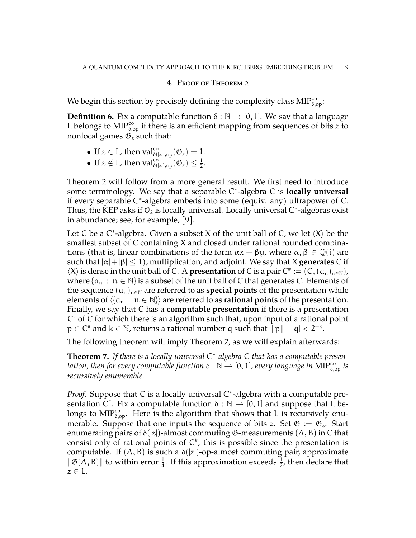## 4. Proof of Theorem [2](#page-2-0)

We begin this section by precisely defining the complexity class  $\text{MIP}^{\text{co}}_{\delta,\text{op}}$ :

**Definition 6.** Fix a computable function  $\delta : \mathbb{N} \to [0, 1]$ . We say that a language L belongs to MIP<sup>co</sup><sub> $\delta$ ,op</sub> if there is an efficient mapping from sequences of bits z to nonlocal games  $\mathfrak{G}_z$  such that:

- If  $z \in L$ , then  $\text{val}_{\delta(|z|),\text{op}}^{co}(\mathfrak{G}_z) = 1$ .
- If  $z \notin L$ , then  $\text{val}_{\delta(|z|),\text{op}}^{co}(\mathfrak{G}_z) \leq \frac{1}{2}$  $\frac{1}{2}$ .

Theorem [2](#page-2-0) will follow from a more general result. We first need to introduce some terminology. We say that a separable C ∗ -algebra C is **locally universal** if every separable C ∗ -algebra embeds into some (equiv. any) ultrapower of C. Thus, the KEP asks if  $\mathcal{O}_2$  is locally universal. Locally universal C\*-algebras exist in abundance; see, for example, [\[9\]](#page-9-2).

Let C be a C\*-algebra. Given a subset X of the unit ball of C, we let  $\langle X \rangle$  be the smallest subset of C containing X and closed under rational rounded combinations (that is, linear combinations of the form  $\alpha x + \beta y$ , where  $\alpha, \beta \in \mathbb{Q}(i)$  are such that  $|\alpha|+|\beta| \leq 1$ , multiplication, and adjoint. We say that X **generates** C if  $\langle X \rangle$  is dense in the unit ball of C. A **presentation** of C is a pair  $C^* := (C, (a_n)_{n \in \mathbb{N}})$ , where  $\{a_n : n \in \mathbb{N}\}\$ is a subset of the unit ball of C that generates C. Elements of the sequence  $(a_n)_{n\in\mathbb{N}}$  are referred to as **special points** of the presentation while elements of  $\langle \{a_n : n \in \mathbb{N}\}\rangle$  are referred to as **rational points** of the presentation. Finally, we say that C has a **computable presentation** if there is a presentation C # of C for which there is an algorithm such that, upon input of a rational point  $p \in C^{\#}$  and  $k \in \mathbb{N}$ , returns a rational number q such that  $\lVert p \rVert - \mathfrak{q} \rVert < 2^{-k}$ .

The following theorem will imply Theorem [2,](#page-2-0) as we will explain afterwards:

<span id="page-8-0"></span>**Theorem 7.** *If there is a locally universal* C ∗ *-algebra* C *that has a computable presentation, then for every computable function* δ : ℕ → [0, 1]*, every language in* MIP<sup>co</sup><sub>δ,op</sub> *is recursively enumerable.*

Proof. Suppose that C is a locally universal C<sup>\*</sup>-algebra with a computable presentation  $\tilde{C}^*$ . Fix a computable function  $\delta : \mathbb{N} \to [0, 1]$  and suppose that  $\tilde{L}$  belongs to  $\text{MIP}^{\text{co}}_{\delta, \text{op}}$ . Here is the algorithm that shows that L is recursively enumerable. Suppose that one inputs the sequence of bits z. Set  $\mathfrak{G} := \mathfrak{G}_z$ . Start enumerating pairs of  $\delta(|z|)$ -almost commuting  $\mathfrak G$ -measurements  $(A, B)$  in C that consist only of rational points of  $C^*$ ; this is possible since the presentation is computable. If  $(A, B)$  is such a  $\delta(|z|)$ -op-almost commuting pair, approximate  $\|\mathfrak{G}(A, B)\|$  to within error  $\frac{1}{4}$ . If this approximation exceeds  $\frac{1}{2}$ , then declare that  $z \in L$ .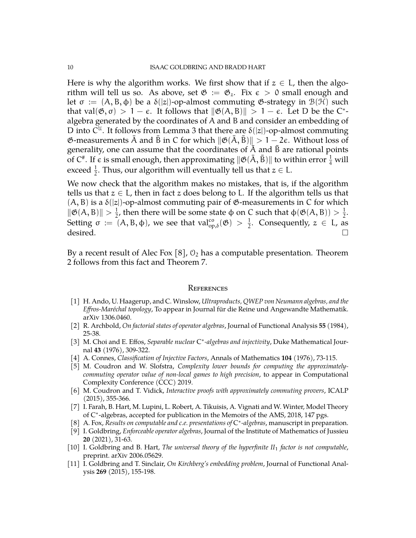Here is why the algorithm works. We first show that if  $z \in L$ , then the algorithm will tell us so. As above, set  $\mathfrak{G} := \mathfrak{G}_z$ . Fix  $\epsilon > 0$  small enough and let  $\sigma := (A, B, \phi)$  be a  $\delta(|z|)$ -op-almost commuting  $\mathfrak{G}$ -strategy in  $\mathcal{B}(\mathcal{H})$  such that val $(\mathfrak{G}, \sigma) > 1 - \epsilon$ . It follows that  $\|\mathfrak{G}(A, B)\| > 1 - \epsilon$ . Let D be the C<sup>\*</sup>algebra generated by the coordinates of A and B and consider an embedding of D into  $C^{\mathfrak{U}}$ . It follows from Lemma [3](#page-3-0) that there are  $\delta(|z|)$ -op-almost commuting  $\mathfrak{G}$ -measurements  $\bar{A}$  and  $\bar{B}$  in C for which  $\|\mathfrak{G}(\bar{A}, \bar{B})\| > 1 - 2\epsilon$ . Without loss of generality, one can assume that the coordinates of  $\overline{A}$  and  $\overline{B}$  are rational points of C<sup>#</sup>. If  $\epsilon$  is small enough, then approximating  $\|\mathfrak{G}(\bar{\mathsf{A}},\bar{\mathsf{B}})\|$  to within error  $\frac{1}{4}$  will exceed  $\frac{1}{2}$ . Thus, our algorithm will eventually tell us that  $z \in L$ .

We now check that the algorithm makes no mistakes, that is, if the algorithm tells us that  $z \in L$ , then in fact z does belong to L. If the algorithm tells us that  $(A, B)$  is a  $\delta(|z|)$ -op-almost commuting pair of  $\mathfrak{G}$ -measurements in C for which  $\|\mathfrak{G}(A, B)\| > \frac{1}{2}$  $\frac{1}{2}$ , then there will be some state φ on C such that  $\varphi(\mathfrak{G}(A, B)) > \frac{1}{2}$  $\frac{1}{2}$ . Setting  $\sigma := (A, B, \phi)$ , we see that  $\text{val}^{\text{co}}_{\text{op},\delta}(\mathfrak{G}) > \frac{1}{2}$  $\frac{1}{2}$ . Consequently,  $z \in L$ , as  $\qquad \qquad \text{desired.} \qquad \qquad \Box$ 

By a recent result of Alec Fox [\[8\]](#page-9-10),  $\mathcal{O}_2$  has a computable presentation. Theorem [2](#page-2-0) follows from this fact and Theorem [7.](#page-8-0)

#### **REFERENCES**

- <span id="page-9-3"></span>[1] H. Ando, U. Haagerup, and C. Winslow, *Ultraproducts, QWEP von Neumann algebras, and the Effros-Maréchal topology*, To appear in Journal für die Reine und Angewandte Mathematik. arXiv 1306.0460.
- <span id="page-9-7"></span>[2] R. Archbold, *On factorial states of operator algebras*, Journal of Functional Analysis **55** (1984), 25-38.
- <span id="page-9-8"></span>[3] M. Choi and E. Effos, Separable nuclear C<sup>\*</sup>-algebras and injectivity, Duke Mathematical Journal **43** (1976), 309-322.
- <span id="page-9-9"></span>[4] A. Connes, *Classification of Injective Factors*, Annals of Mathematics **104** (1976), 73-115.
- <span id="page-9-5"></span>[5] M. Coudron and W. Slofstra, *Complexity lower bounds for computing the approximatelycommuting operator value of non-local games to high precision*, to appear in Computational Complexity Conference (CCC) 2019.
- <span id="page-9-4"></span>[6] M. Coudron and T. Vidick, *Interactive proofs with approximately commuting provers*, ICALP (2015), 355-366.
- <span id="page-9-6"></span>[7] I. Farah, B. Hart, M. Lupini, L. Robert, A. Tikuisis, A. Vignati and W. Winter, Model Theory of C<sup>\*</sup>-algebras, accepted for publication in the Memoirs of the AMS, 2018, 147 pgs.
- <span id="page-9-10"></span>[8] A. Fox, *Results on computable and c.e. presentations of* C ∗ *-algebras*, manuscript in preparation.
- <span id="page-9-2"></span>[9] I. Goldbring, *Enforceable operator algebras*, Journal of the Institute of Mathematics of Jussieu **20** (2021), 31-63.
- <span id="page-9-0"></span>[10] I. Goldbring and B. Hart, *The universal theory of the hyperfinite II*<sup>1</sup> *factor is not computable*, preprint. arXiv 2006.05629.
- <span id="page-9-1"></span>[11] I. Goldbring and T. Sinclair, *On Kirchberg's embedding problem*, Journal of Functional Analysis **269** (2015), 155-198.